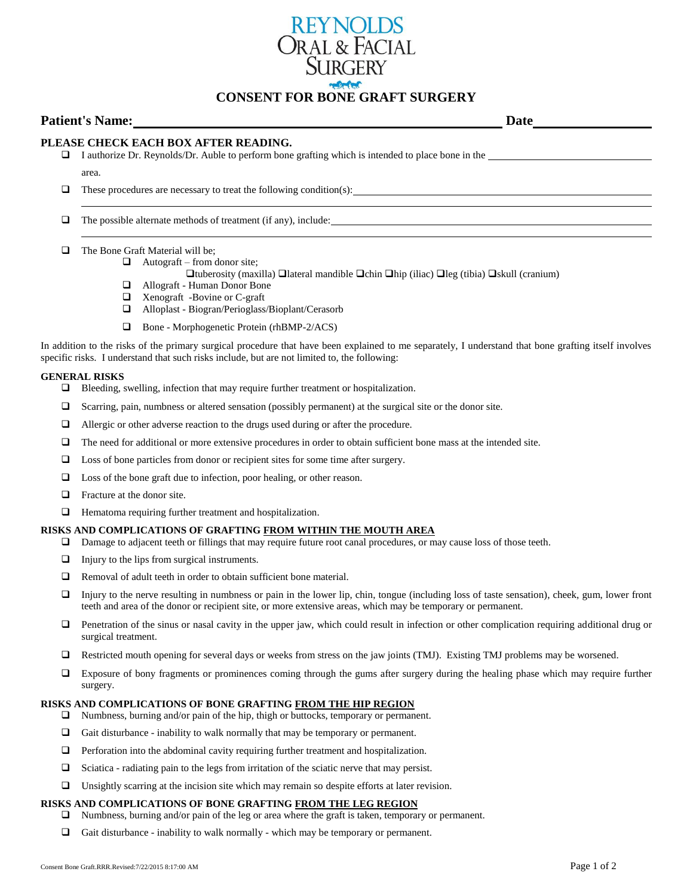

# **CONSENT FOR BONE GRAFT SURGERY**

| <b>Patient's Name:</b> |                                                                                                                                                              | Date |  |
|------------------------|--------------------------------------------------------------------------------------------------------------------------------------------------------------|------|--|
| ⊔                      | PLEASE CHECK EACH BOX AFTER READING.<br>I authorize Dr. Reynolds/Dr. Auble to perform bone grafting which is intended to place bone in the                   |      |  |
|                        | area.                                                                                                                                                        |      |  |
|                        | These procedures are necessary to treat the following condition(s):                                                                                          |      |  |
|                        | The possible alternate methods of treatment (if any), include:                                                                                               |      |  |
|                        | The Bone Graft Material will be:<br>Autograft – from donor site;<br>⊔                                                                                        |      |  |
|                        | $\Box$ tuberosity (maxilla) $\Box$ lateral mandible $\Box$ chin $\Box$ hip (iliac) $\Box$ leg (tibia) $\Box$ skull (cranium)<br>Allograft - Human Donor Bone |      |  |

- Xenograft -Bovine or C-graft
- Alloplast Biogran/Perioglass/Bioplant/Cerasorb
- □ Bone Morphogenetic Protein (rhBMP-2/ACS)

In addition to the risks of the primary surgical procedure that have been explained to me separately, I understand that bone grafting itself involves specific risks. I understand that such risks include, but are not limited to, the following:

# **GENERAL RISKS**

- $\Box$  Bleeding, swelling, infection that may require further treatment or hospitalization.
- $\Box$  Scarring, pain, numbness or altered sensation (possibly permanent) at the surgical site or the donor site.
- Allergic or other adverse reaction to the drugs used during or after the procedure.
- The need for additional or more extensive procedures in order to obtain sufficient bone mass at the intended site.
- □ Loss of bone particles from donor or recipient sites for some time after surgery.
- Loss of the bone graft due to infection, poor healing, or other reason.
- $\Box$  Fracture at the donor site.
- $\Box$  Hematoma requiring further treatment and hospitalization.

# **RISKS AND COMPLICATIONS OF GRAFTING FROM WITHIN THE MOUTH AREA**

- Damage to adjacent teeth or fillings that may require future root canal procedures, or may cause loss of those teeth.
- $\Box$  Injury to the lips from surgical instruments.
- $\Box$  Removal of adult teeth in order to obtain sufficient bone material.
- $\Box$  Injury to the nerve resulting in numbness or pain in the lower lip, chin, tongue (including loss of taste sensation), cheek, gum, lower front teeth and area of the donor or recipient site, or more extensive areas, which may be temporary or permanent.
- $\Box$  Penetration of the sinus or nasal cavity in the upper jaw, which could result in infection or other complication requiring additional drug or surgical treatment.
- Restricted mouth opening for several days or weeks from stress on the jaw joints (TMJ). Existing TMJ problems may be worsened.
- Exposure of bony fragments or prominences coming through the gums after surgery during the healing phase which may require further surgery.

#### **RISKS AND COMPLICATIONS OF BONE GRAFTING FROM THE HIP REGION**

- Numbness, burning and/or pain of the hip, thigh or buttocks, temporary or permanent.
- $\Box$  Gait disturbance inability to walk normally that may be temporary or permanent.
- $\Box$  Perforation into the abdominal cavity requiring further treatment and hospitalization.
- $\Box$  Sciatica radiating pain to the legs from irritation of the sciatic nerve that may persist.
- $\Box$  Unsightly scarring at the incision site which may remain so despite efforts at later revision.

#### **RISKS AND COMPLICATIONS OF BONE GRAFTING FROM THE LEG REGION**

Numbness, burning and/or pain of the leg or area where the graft is taken, temporary or permanent.

 $\Box$  Gait disturbance - inability to walk normally - which may be temporary or permanent.